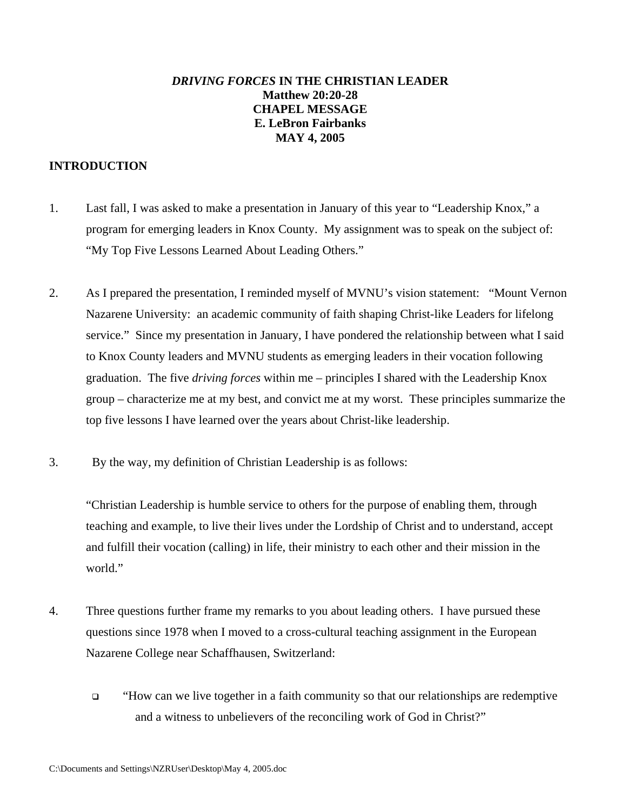# *DRIVING FORCES* **IN THE CHRISTIAN LEADER Matthew 20:20-28 CHAPEL MESSAGE E. LeBron Fairbanks MAY 4, 2005**

# **INTRODUCTION**

- 1. Last fall, I was asked to make a presentation in January of this year to "Leadership Knox," a program for emerging leaders in Knox County. My assignment was to speak on the subject of: "My Top Five Lessons Learned About Leading Others."
- 2. As I prepared the presentation, I reminded myself of MVNU's vision statement: "Mount Vernon Nazarene University: an academic community of faith shaping Christ-like Leaders for lifelong service." Since my presentation in January, I have pondered the relationship between what I said to Knox County leaders and MVNU students as emerging leaders in their vocation following graduation. The five *driving forces* within me – principles I shared with the Leadership Knox group – characterize me at my best, and convict me at my worst. These principles summarize the top five lessons I have learned over the years about Christ-like leadership.
- 3. By the way, my definition of Christian Leadership is as follows:

"Christian Leadership is humble service to others for the purpose of enabling them, through teaching and example, to live their lives under the Lordship of Christ and to understand, accept and fulfill their vocation (calling) in life, their ministry to each other and their mission in the world."

- 4. Three questions further frame my remarks to you about leading others. I have pursued these questions since 1978 when I moved to a cross-cultural teaching assignment in the European Nazarene College near Schaffhausen, Switzerland:
	- "How can we live together in a faith community so that our relationships are redemptive and a witness to unbelievers of the reconciling work of God in Christ?"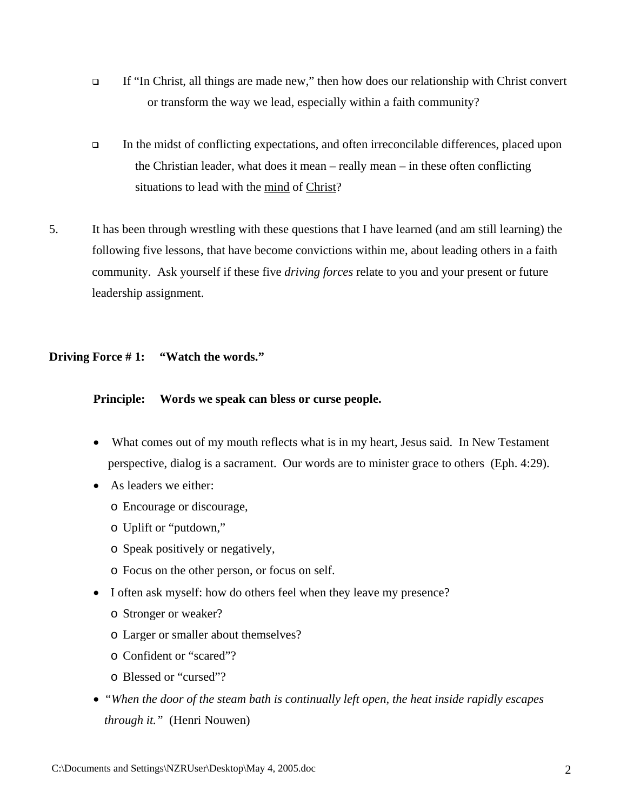- If "In Christ, all things are made new," then how does our relationship with Christ convert or transform the way we lead, especially within a faith community?
- In the midst of conflicting expectations, and often irreconcilable differences, placed upon the Christian leader, what does it mean – really mean – in these often conflicting situations to lead with the mind of Christ?
- 5. It has been through wrestling with these questions that I have learned (and am still learning) the following five lessons, that have become convictions within me, about leading others in a faith community. Ask yourself if these five *driving forces* relate to you and your present or future leadership assignment.

### **Driving Force # 1: "Watch the words."**

#### **Principle: Words we speak can bless or curse people.**

- What comes out of my mouth reflects what is in my heart, Jesus said. In New Testament perspective, dialog is a sacrament. Our words are to minister grace to others (Eph. 4:29).
- As leaders we either:
	- o Encourage or discourage,
	- o Uplift or "putdown,"
	- o Speak positively or negatively,
	- o Focus on the other person, or focus on self.
- I often ask myself: how do others feel when they leave my presence?
	- o Stronger or weaker?
	- o Larger or smaller about themselves?
	- o Confident or "scared"?
	- o Blessed or "cursed"?
- *"When the door of the steam bath is continually left open, the heat inside rapidly escapes through it."* (Henri Nouwen)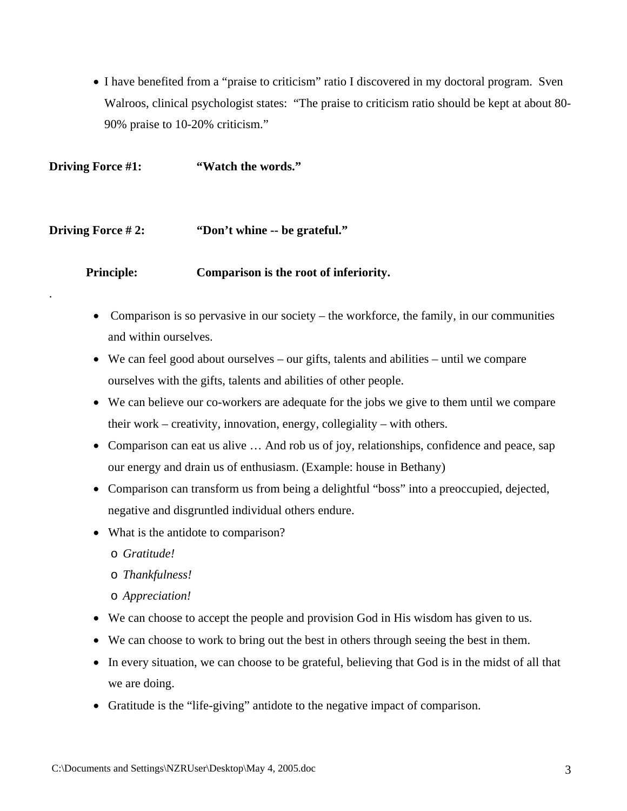• I have benefited from a "praise to criticism" ratio I discovered in my doctoral program. Sven Walroos, clinical psychologist states: "The praise to criticism ratio should be kept at about 80- 90% praise to 10-20% criticism."

**Driving Force #1:** "Watch the words."

#### **Driving Force #2:** "Don't whine -- be grateful."

**Principle: Comparison is the root of inferiority.** 

- Comparison is so pervasive in our society the workforce, the family, in our communities and within ourselves.
- We can feel good about ourselves our gifts, talents and abilities until we compare ourselves with the gifts, talents and abilities of other people.
- We can believe our co-workers are adequate for the jobs we give to them until we compare their work – creativity, innovation, energy, collegiality – with others.
- Comparison can eat us alive ... And rob us of joy, relationships, confidence and peace, sap our energy and drain us of enthusiasm. (Example: house in Bethany)
- Comparison can transform us from being a delightful "boss" into a preoccupied, dejected, negative and disgruntled individual others endure.
- What is the antidote to comparison?
	- o *Gratitude!*

.

- o *Thankfulness!*
- o *Appreciation!*
- We can choose to accept the people and provision God in His wisdom has given to us.
- We can choose to work to bring out the best in others through seeing the best in them.
- In every situation, we can choose to be grateful, believing that God is in the midst of all that we are doing.
- Gratitude is the "life-giving" antidote to the negative impact of comparison.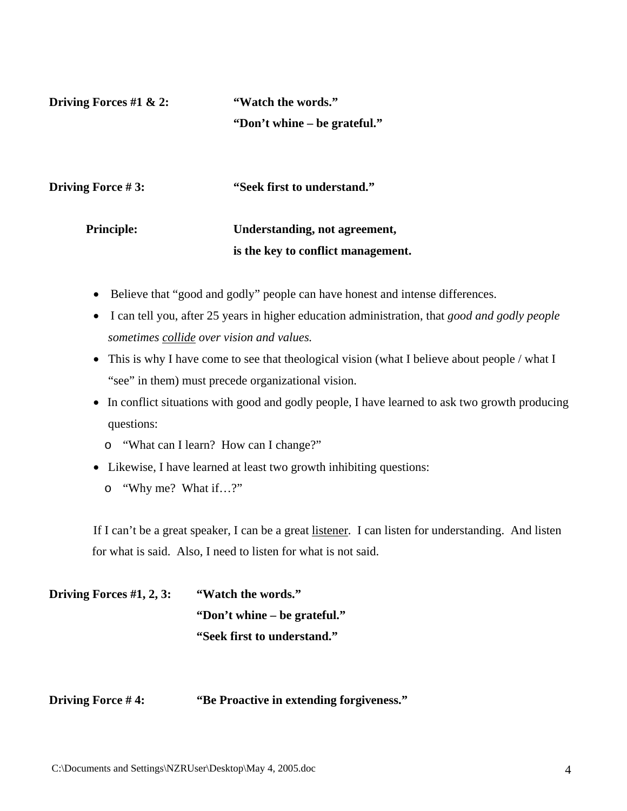**Driving Forces #1 & 2:** "Watch the words." **"Don't whine – be grateful."** 

**Driving Force #3:** "Seek first to understand."

# **Principle: Understanding, not agreement, is the key to conflict management.**

- Believe that "good and godly" people can have honest and intense differences.
- I can tell you, after 25 years in higher education administration, that *good and godly people sometimes collide over vision and values.*
- This is why I have come to see that theological vision (what I believe about people / what I "see" in them) must precede organizational vision.
- In conflict situations with good and godly people, I have learned to ask two growth producing questions:
	- o "What can I learn? How can I change?"
- Likewise, I have learned at least two growth inhibiting questions:
	- o "Why me? What if…?"

If I can't be a great speaker, I can be a great listener. I can listen for understanding. And listen for what is said. Also, I need to listen for what is not said.

| Driving Forces $#1, 2, 3$ : | "Watch the words."           |
|-----------------------------|------------------------------|
|                             | "Don't whine – be grateful." |
|                             | "Seek first to understand."  |

# **Driving Force #4:** "Be Proactive in extending forgiveness."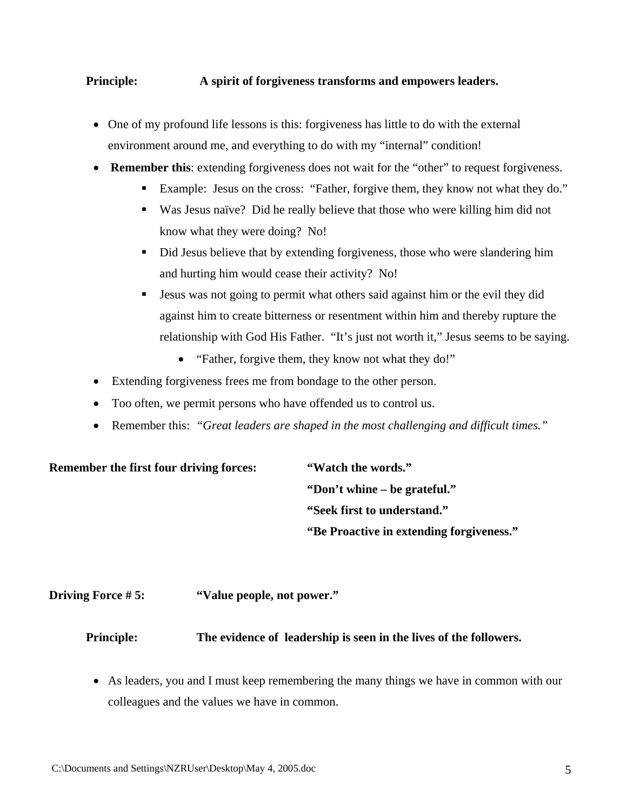# **Principle: A spirit of forgiveness transforms and empowers leaders.**

- One of my profound life lessons is this: forgiveness has little to do with the external environment around me, and everything to do with my "internal" condition!
- **Remember this**: extending forgiveness does not wait for the "other" to request forgiveness.
	- Example: Jesus on the cross: "Father, forgive them, they know not what they do."
	- Was Jesus naïve? Did he really believe that those who were killing him did not know what they were doing? No!
	- Did Jesus believe that by extending forgiveness, those who were slandering him and hurting him would cease their activity? No!
	- **Jesus was not going to permit what others said against him or the evil they did** against him to create bitterness or resentment within him and thereby rupture the relationship with God His Father. "It's just not worth it," Jesus seems to be saying.
		- "Father, forgive them, they know not what they do!"
- Extending forgiveness frees me from bondage to the other person.
- Too often, we permit persons who have offended us to control us.
- Remember this: *"Great leaders are shaped in the most challenging and difficult times."*

# **Remember the first four driving forces: "Watch the words."**

 **"Don't whine – be grateful." "Seek first to understand." "Be Proactive in extending forgiveness."** 

# **Driving Force # 5: "Value people, not power."**

# **Principle: The evidence of leadership is seen in the lives of the followers.**

• As leaders, you and I must keep remembering the many things we have in common with our colleagues and the values we have in common.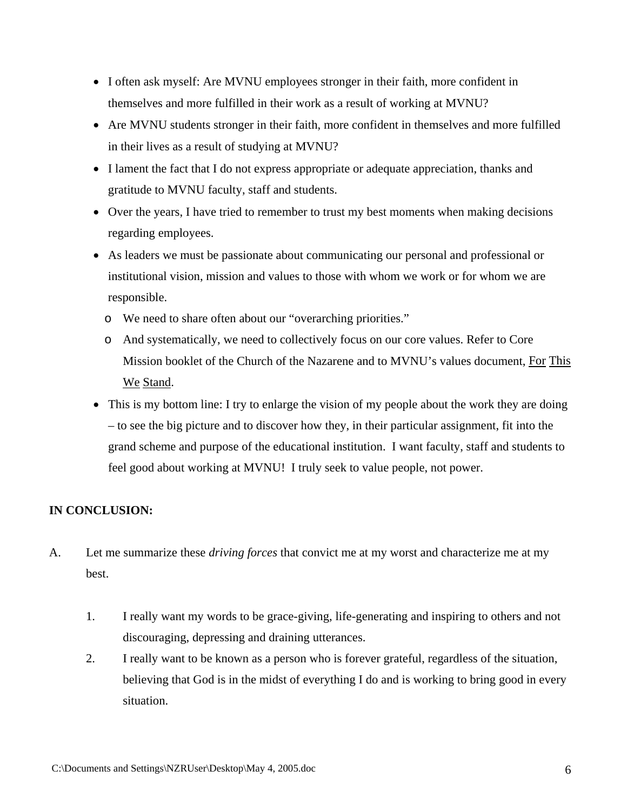- I often ask myself: Are MVNU employees stronger in their faith, more confident in themselves and more fulfilled in their work as a result of working at MVNU?
- Are MVNU students stronger in their faith, more confident in themselves and more fulfilled in their lives as a result of studying at MVNU?
- I lament the fact that I do not express appropriate or adequate appreciation, thanks and gratitude to MVNU faculty, staff and students.
- Over the years, I have tried to remember to trust my best moments when making decisions regarding employees.
- As leaders we must be passionate about communicating our personal and professional or institutional vision, mission and values to those with whom we work or for whom we are responsible.
	- o We need to share often about our "overarching priorities."
	- o And systematically, we need to collectively focus on our core values. Refer to Core Mission booklet of the Church of the Nazarene and to MVNU's values document, For This We Stand.
- This is my bottom line: I try to enlarge the vision of my people about the work they are doing – to see the big picture and to discover how they, in their particular assignment, fit into the grand scheme and purpose of the educational institution. I want faculty, staff and students to feel good about working at MVNU! I truly seek to value people, not power.

# **IN CONCLUSION:**

- A. Let me summarize these *driving forces* that convict me at my worst and characterize me at my best.
	- 1. I really want my words to be grace-giving, life-generating and inspiring to others and not discouraging, depressing and draining utterances.
	- 2. I really want to be known as a person who is forever grateful, regardless of the situation, believing that God is in the midst of everything I do and is working to bring good in every situation.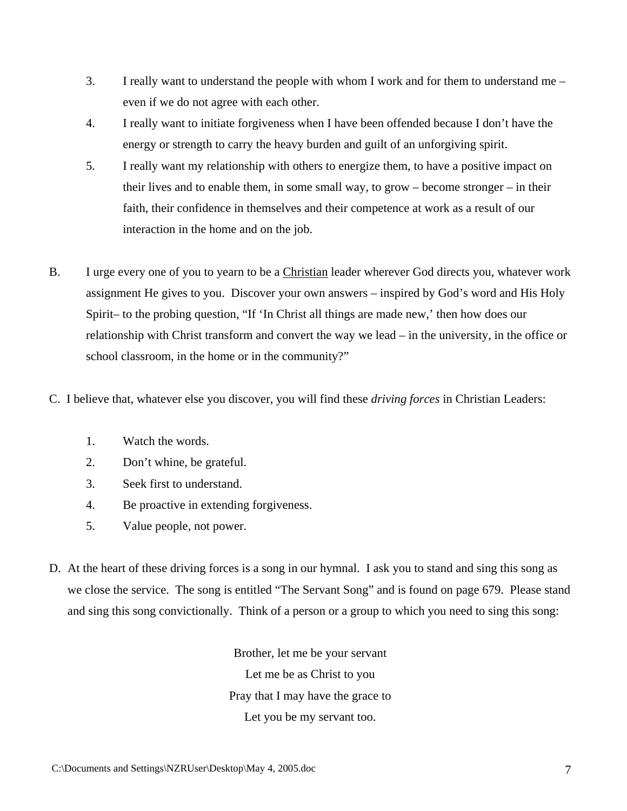- 3. I really want to understand the people with whom I work and for them to understand me even if we do not agree with each other.
- 4. I really want to initiate forgiveness when I have been offended because I don't have the energy or strength to carry the heavy burden and guilt of an unforgiving spirit.
- 5. I really want my relationship with others to energize them, to have a positive impact on their lives and to enable them, in some small way, to grow – become stronger – in their faith, their confidence in themselves and their competence at work as a result of our interaction in the home and on the job.
- B. I urge every one of you to yearn to be a Christian leader wherever God directs you, whatever work assignment He gives to you. Discover your own answers – inspired by God's word and His Holy Spirit– to the probing question, "If 'In Christ all things are made new,' then how does our relationship with Christ transform and convert the way we lead – in the university, in the office or school classroom, in the home or in the community?"
- C. I believe that, whatever else you discover, you will find these *driving forces* in Christian Leaders:
	- 1. Watch the words.
	- 2. Don't whine, be grateful.
	- 3. Seek first to understand.
	- 4. Be proactive in extending forgiveness.
	- 5. Value people, not power.
- D. At the heart of these driving forces is a song in our hymnal. I ask you to stand and sing this song as we close the service. The song is entitled "The Servant Song" and is found on page 679. Please stand and sing this song convictionally. Think of a person or a group to which you need to sing this song:

Brother, let me be your servant Let me be as Christ to you Pray that I may have the grace to Let you be my servant too.